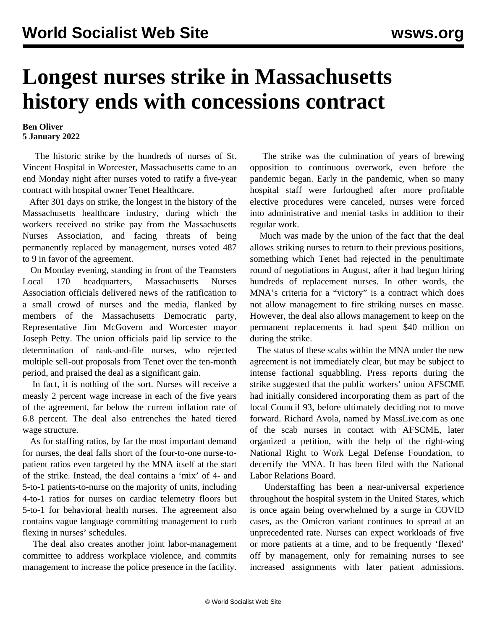## **Longest nurses strike in Massachusetts history ends with concessions contract**

## **Ben Oliver 5 January 2022**

 The historic strike by the hundreds of nurses of St. Vincent Hospital in Worcester, Massachusetts came to an end Monday night after nurses voted to ratify a five-year contract with hospital owner Tenet Healthcare.

 After 301 days on strike, the longest in the history of the Massachusetts healthcare industry, during which the workers received no strike pay from the Massachusetts Nurses Association, and facing threats of being permanently replaced by management, nurses voted 487 to 9 in favor of the agreement.

 On Monday evening, standing in front of the Teamsters Local 170 headquarters, Massachusetts Nurses Association officials delivered news of the ratification to a small crowd of nurses and the media, flanked by members of the Massachusetts Democratic party, Representative Jim McGovern and Worcester mayor Joseph Petty. The union officials paid lip service to the determination of rank-and-file nurses, who rejected multiple sell-out proposals from Tenet over the ten-month period, and praised the deal as a significant gain.

 In fact, it is nothing of the sort. Nurses will receive a measly 2 percent wage increase in each of the five years of the agreement, far below the current inflation rate of 6.8 percent. The deal also entrenches the hated tiered wage structure.

 As for staffing ratios, by far the most important demand for nurses, the deal falls short of the four-to-one nurse-topatient ratios even targeted by the MNA itself at the start of the strike. Instead, the deal contains a 'mix' of 4- and 5-to-1 patients-to-nurse on the majority of units, including 4-to-1 ratios for nurses on cardiac telemetry floors but 5-to-1 for behavioral health nurses. The agreement also contains vague language committing management to curb flexing in nurses' schedules.

 The deal also creates another joint labor-management committee to address workplace violence, and commits management to increase the police presence in the facility.

 The strike was the culmination of years of brewing opposition to continuous overwork, even before the pandemic began. Early in the pandemic, when so many hospital staff were furloughed after more profitable elective procedures were canceled, nurses were forced into administrative and menial tasks in addition to their regular work.

 Much was made by the union of the fact that the deal allows striking nurses to return to their previous positions, something which Tenet had rejected in the penultimate round of negotiations in August, after it had begun hiring hundreds of replacement nurses. In other words, the MNA's criteria for a "victory" is a contract which does not allow management to fire striking nurses en masse. However, the deal also allows management to keep on the permanent replacements it had spent \$40 million on during the strike.

 The status of these scabs within the MNA under the new agreement is not immediately clear, but may be subject to intense factional squabbling. Press reports during the strike suggested that the public workers' union AFSCME had initially considered incorporating them as part of the local Council 93, before ultimately deciding not to move forward. Richard Avola, named by MassLive.com as one of the scab nurses in contact with AFSCME, later organized a petition, with the help of the right-wing National Right to Work Legal Defense Foundation, to decertify the MNA. It has been filed with the National Labor Relations Board.

 Understaffing has been a near-universal experience throughout the hospital system in the United States, which is once again being overwhelmed by a surge in COVID cases, as the Omicron variant continues to spread at an unprecedented rate. Nurses can expect workloads of five or more patients at a time, and to be frequently 'flexed' off by management, only for remaining nurses to see increased assignments with later patient admissions.